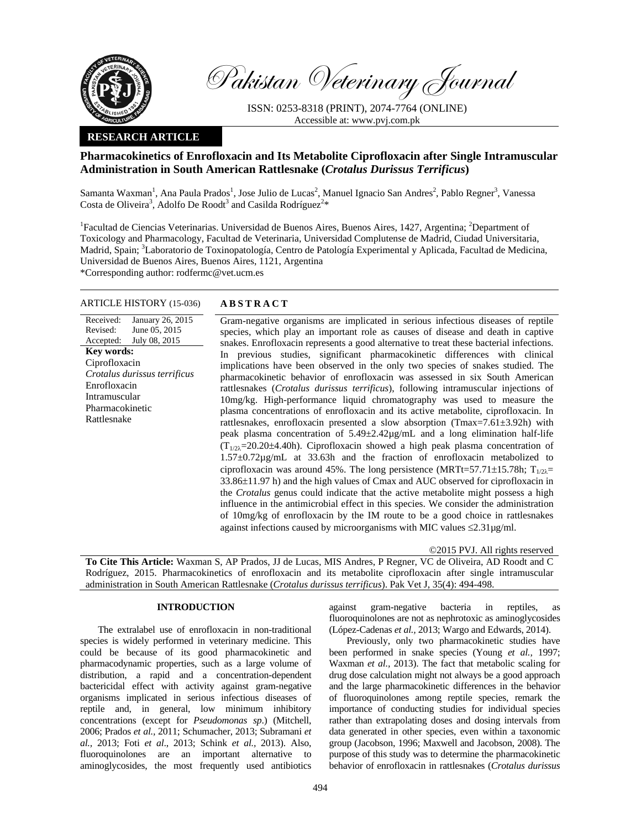

Pakistan Veterinary Journal

ISSN: 0253-8318 (PRINT), 2074-7764 (ONLINE) Accessible at: www.pvj.com.pk

# **RESEARCH ARTICLE**

# **Pharmacokinetics of Enrofloxacin and Its Metabolite Ciprofloxacin after Single Intramuscular Administration in South American Rattlesnake (***Crotalus Durissus Terrificus***)**

Samanta Waxman<sup>1</sup>, Ana Paula Prados<sup>1</sup>, Jose Julio de Lucas<sup>2</sup>, Manuel Ignacio San Andres<sup>2</sup>, Pablo Regner<sup>3</sup>, Vanessa Costa de Oliveira<sup>3</sup>, Adolfo De Roodt<sup>3</sup> and Casilda Rodríguez<sup>2\*</sup>

<sup>1</sup>Facultad de Ciencias Veterinarias. Universidad de Buenos Aires, Buenos Aires, 1427, Argentina; <sup>2</sup>Department of Toxicology and Pharmacology, Facultad de Veterinaria, Universidad Complutense de Madrid, Ciudad Universitaria, Madrid, Spain; <sup>3</sup>Laboratorio de Toxinopatología, Centro de Patología Experimental y Aplicada, Facultad de Medicina, Universidad de Buenos Aires, Buenos Aires, 1121, Argentina

\*Corresponding author: rodfermc@vet.ucm.es

## ARTICLE HISTORY (15-036) **ABSTRACT**

Received: Revised: Accepted: January 26, 2015 June 05, 2015 July 08, 2015 **Key words:**  Ciprofloxacin *Crotalus durissus terrificus*  Enrofloxacin Intramuscular Pharmacokinetic Rattlesnake

 Gram-negative organisms are implicated in serious infectious diseases of reptile species, which play an important role as causes of disease and death in captive snakes. Enrofloxacin represents a good alternative to treat these bacterial infections. In previous studies, significant pharmacokinetic differences with clinical implications have been observed in the only two species of snakes studied. The pharmacokinetic behavior of enrofloxacin was assessed in six South American rattlesnakes (*Crotalus durissus terrificus*), following intramuscular injections of 10mg/kg. High-performance liquid chromatography was used to measure the plasma concentrations of enrofloxacin and its active metabolite, ciprofloxacin. In rattlesnakes, enrofloxacin presented a slow absorption (Tmax=7.61±3.92h) with peak plasma concentration of 5.49±2.42µg/mL and a long elimination half-life  $(T_{1/2\lambda} = 20.20 \pm 4.40$ h). Ciprofloxacin showed a high peak plasma concentration of 1.57±0.72µg/mL at 33.63h and the fraction of enrofloxacin metabolized to ciprofloxacin was around 45%. The long persistence (MRTt=57.71±15.78h;  $T_{1/2\lambda}$ = 33.86±11.97 h) and the high values of Cmax and AUC observed for ciprofloxacin in the *Crotalus* genus could indicate that the active metabolite might possess a high influence in the antimicrobial effect in this species. We consider the administration of 10mg/kg of enrofloxacin by the IM route to be a good choice in rattlesnakes against infections caused by microorganisms with MIC values  $\leq 2.31 \mu$ g/ml.

©2015 PVJ. All rights reserved

**To Cite This Article:** Waxman S, AP Prados, JJ de Lucas, MIS Andres, P Regner, VC de Oliveira, AD Roodt and C Rodríguez, 2015. Pharmacokinetics of enrofloxacin and its metabolite ciprofloxacin after single intramuscular administration in South American Rattlesnake (*Crotalus durissus terrificus*). Pak Vet J, 35(4): 494-498.

## **INTRODUCTION**

The extralabel use of enrofloxacin in non-traditional species is widely performed in veterinary medicine. This could be because of its good pharmacokinetic and pharmacodynamic properties, such as a large volume of distribution, a rapid and a concentration-dependent bactericidal effect with activity against gram-negative organisms implicated in serious infectious diseases of reptile and, in general, low minimum inhibitory concentrations (except for *Pseudomonas sp*.) (Mitchell, 2006; Prados *et al.,* 2011; Schumacher, 2013; Subramani *et al.,* 2013; Foti *et al*., 2013; Schink *et al.,* 2013). Also, fluoroquinolones are an important alternative to aminoglycosides, the most frequently used antibiotics

against gram-negative bacteria in reptiles, as fluoroquinolones are not as nephrotoxic as aminoglycosides (López-Cadenas *et al.,* 2013; Wargo and Edwards, 2014).

Previously, only two pharmacokinetic studies have been performed in snake species (Young *et al.,* 1997; Waxman *et al.,* 2013). The fact that metabolic scaling for drug dose calculation might not always be a good approach and the large pharmacokinetic differences in the behavior of fluoroquinolones among reptile species, remark the importance of conducting studies for individual species rather than extrapolating doses and dosing intervals from data generated in other species, even within a taxonomic group (Jacobson, 1996; Maxwell and Jacobson, 2008). The purpose of this study was to determine the pharmacokinetic behavior of enrofloxacin in rattlesnakes (*Crotalus durissus*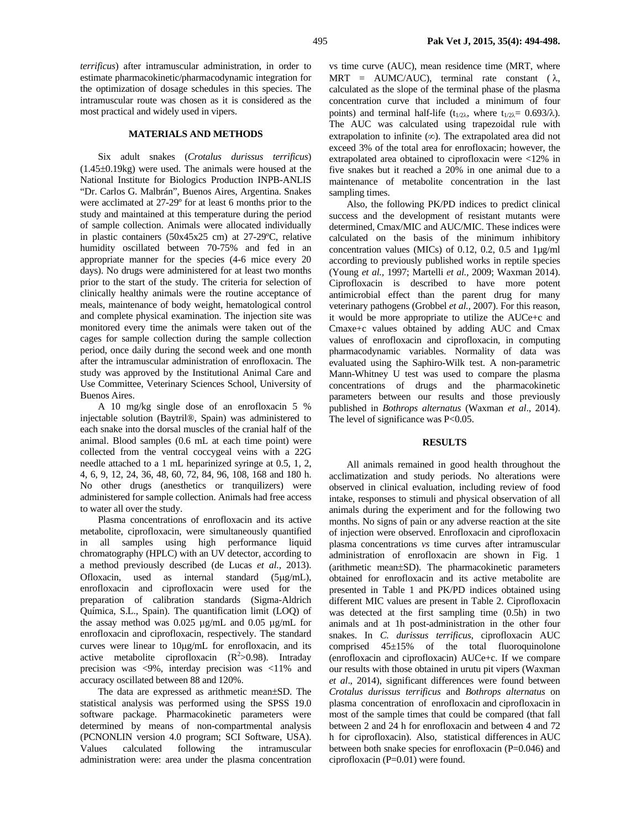*terrificus*) after intramuscular administration, in order to estimate pharmacokinetic/pharmacodynamic integration for the optimization of dosage schedules in this species. The intramuscular route was chosen as it is considered as the most practical and widely used in vipers.

# **MATERIALS AND METHODS**

Six adult snakes (*Crotalus durissus terrificus*) (1.45±0.19kg) were used. The animals were housed at the National Institute for Biologics Production INPB-ANLIS "Dr. Carlos G. Malbrán", Buenos Aires, Argentina. Snakes were acclimated at 27-29º for at least 6 months prior to the study and maintained at this temperature during the period of sample collection. Animals were allocated individually in plastic containers (50x45x25 cm) at 27-29ºC, relative humidity oscillated between 70-75% and fed in an appropriate manner for the species (4-6 mice every 20 days). No drugs were administered for at least two months prior to the start of the study. The criteria for selection of clinically healthy animals were the routine acceptance of meals, maintenance of body weight, hematological control and complete physical examination. The injection site was monitored every time the animals were taken out of the cages for sample collection during the sample collection period, once daily during the second week and one month after the intramuscular administration of enrofloxacin. The study was approved by the Institutional Animal Care and Use Committee, Veterinary Sciences School, University of Buenos Aires.

A 10 mg/kg single dose of an enrofloxacin 5 % injectable solution (Baytril®, Spain) was administered to each snake into the dorsal muscles of the cranial half of the animal. Blood samples (0.6 mL at each time point) were collected from the ventral coccygeal veins with a 22G needle attached to a 1 mL heparinized syringe at 0.5, 1, 2, 4, 6, 9, 12, 24, 36, 48, 60, 72, 84, 96, 108, 168 and 180 h. No other drugs (anesthetics or tranquilizers) were administered for sample collection. Animals had free access to water all over the study.

Plasma concentrations of enrofloxacin and its active metabolite, ciprofloxacin, were simultaneously quantified in all samples using high performance liquid chromatography (HPLC) with an UV detector, according to a method previously described (de Lucas *et al.,* 2013). Ofloxacin, used as internal standard (5µg/mL), enrofloxacin and ciprofloxacin were used for the preparation of calibration standards (Sigma-Aldrich Química, S.L., Spain). The quantification limit (LOQ) of the assay method was 0.025 µg/mL and 0.05 µg/mL for enrofloxacin and ciprofloxacin, respectively. The standard curves were linear to 10µg/mL for enrofloxacin, and its active metabolite ciprofloxacin  $(R^2>0.98)$ . Intraday precision was <9%, interday precision was <11% and accuracy oscillated between 88 and 120%.

The data are expressed as arithmetic mean±SD. The statistical analysis was performed using the SPSS 19.0 software package. Pharmacokinetic parameters were determined by means of non-compartmental analysis (PCNONLIN version 4.0 program; SCI Software, USA). Values calculated following the intramuscular administration were: area under the plasma concentration

vs time curve (AUC), mean residence time (MRT, where MRT = AUMC/AUC), terminal rate constant  $(\lambda, \lambda)$ calculated as the slope of the terminal phase of the plasma concentration curve that included a minimum of four points) and terminal half-life ( $t_{1/2\lambda}$ , where  $t_{1/2\lambda} = 0.693/\lambda$ ). The AUC was calculated using trapezoidal rule with extrapolation to infinite  $(\infty)$ . The extrapolated area did not exceed 3% of the total area for enrofloxacin; however, the extrapolated area obtained to ciprofloxacin were <12% in five snakes but it reached a 20% in one animal due to a maintenance of metabolite concentration in the last sampling times.

Also, the following PK/PD indices to predict clinical success and the development of resistant mutants were determined, Cmax/MIC and AUC/MIC. These indices were calculated on the basis of the minimum inhibitory concentration values (MICs) of 0.12, 0.2, 0.5 and 1µg/ml according to previously published works in reptile species (Young *et al.,* 1997; Martelli *et al.,* 2009; Waxman 2014). Ciprofloxacin is described to have more potent antimicrobial effect than the parent drug for many veterinary pathogens (Grobbel *et al.,* 2007). For this reason, it would be more appropriate to utilize the AUCe+c and Cmaxe+c values obtained by adding AUC and Cmax values of enrofloxacin and ciprofloxacin, in computing pharmacodynamic variables. Normality of data was evaluated using the Saphiro-Wilk test. A non-parametric Mann-Whitney U test was used to compare the plasma concentrations of drugs and the pharmacokinetic parameters between our results and those previously published in *Bothrops alternatus* (Waxman *et al*., 2014). The level of significance was P<0.05.

#### **RESULTS**

All animals remained in good health throughout the acclimatization and study periods. No alterations were observed in clinical evaluation, including review of food intake, responses to stimuli and physical observation of all animals during the experiment and for the following two months. No signs of pain or any adverse reaction at the site of injection were observed. Enrofloxacin and ciprofloxacin plasma concentrations *vs* time curves after intramuscular administration of enrofloxacin are shown in Fig. 1 (arithmetic mean±SD). The pharmacokinetic parameters obtained for enrofloxacin and its active metabolite are presented in Table 1 and PK/PD indices obtained using different MIC values are present in Table 2. Ciprofloxacin was detected at the first sampling time (0.5h) in two animals and at 1h post-administration in the other four snakes. In *C. durissus terrificus*, ciprofloxacin AUC comprised  $45\pm15\%$  of the total fluoroquinolone (enrofloxacin and ciprofloxacin) AUCe+c. If we compare our results with those obtained in urutu pit vipers (Waxman *et al*., 2014), significant differences were found between *Crotalus durissus terrificus* and *Bothrops alternatus* on plasma concentration of enrofloxacin and ciprofloxacin in most of the sample times that could be compared (that fall between 2 and 24 h for enrofloxacin and between 4 and 72 h for ciprofloxacin). Also, statistical differences in AUC between both snake species for enrofloxacin (P=0.046) and ciprofloxacin (P=0.01) were found.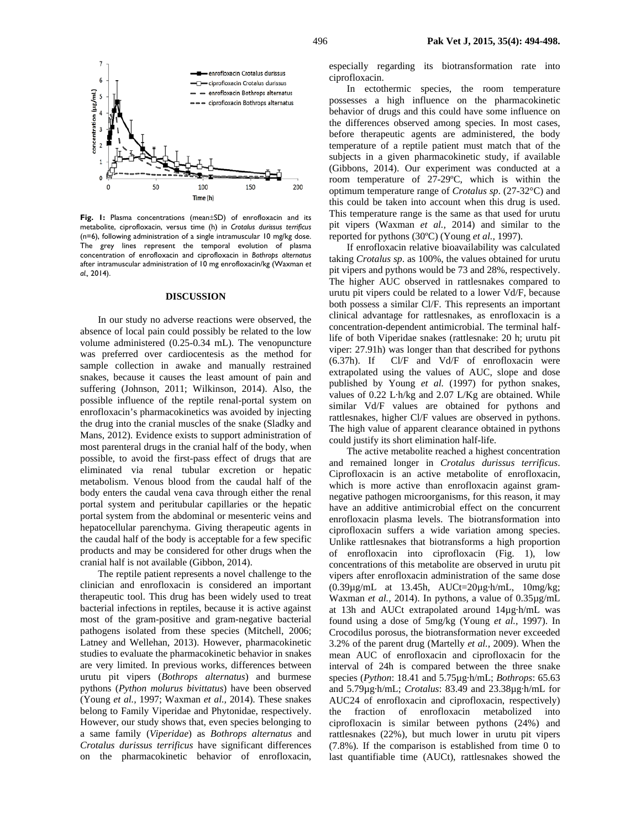

**Fig. 1:** Plasma concentrations (mean±SD) of enrofloxacin and its metabolite, ciprofloxacin, versus time (h) in *Crotalus durissus terrificus* (n=6), following administration of a single intramuscular 10 mg/kg dose. The grey lines represent the temporal evolution of plasma concentration of enrofloxacin and ciprofloxacin in *Bothrops alternatus* after intramuscular administration of 10 mg enrofloxacin/kg (Waxman *et al.,* 2014).

#### **DISCUSSION**

In our study no adverse reactions were observed, the absence of local pain could possibly be related to the low volume administered (0.25-0.34 mL). The venopuncture was preferred over cardiocentesis as the method for sample collection in awake and manually restrained snakes, because it causes the least amount of pain and suffering (Johnson, 2011; Wilkinson, 2014). Also, the possible influence of the reptile renal-portal system on enrofloxacin's pharmacokinetics was avoided by injecting the drug into the cranial muscles of the snake (Sladky and Mans, 2012). Evidence exists to support administration of most parenteral drugs in the cranial half of the body, when possible, to avoid the first-pass effect of drugs that are eliminated via renal tubular excretion or hepatic metabolism. Venous blood from the caudal half of the body enters the caudal vena cava through either the renal portal system and peritubular capillaries or the hepatic portal system from the abdominal or mesenteric veins and hepatocellular parenchyma. Giving therapeutic agents in the caudal half of the body is acceptable for a few specific products and may be considered for other drugs when the cranial half is not available (Gibbon, 2014).

The reptile patient represents a novel challenge to the clinician and enrofloxacin is considered an important therapeutic tool. This drug has been widely used to treat bacterial infections in reptiles, because it is active against most of the gram-positive and gram-negative bacterial pathogens isolated from these species (Mitchell, 2006; Latney and Wellehan, 2013). However, pharmacokinetic studies to evaluate the pharmacokinetic behavior in snakes are very limited. In previous works, differences between urutu pit vipers (*Bothrops alternatus*) and burmese pythons (*Python molurus bivittatus*) have been observed (Young *et al.,* 1997; Waxman *et al.,* 2014). These snakes belong to Family Viperidae and Phytonidae, respectively. However, our study shows that, even species belonging to a same family (*Viperidae*) as *Bothrops alternatus* and *Crotalus durissus terrificus* have significant differences on the pharmacokinetic behavior of enrofloxacin,

especially regarding its biotransformation rate into ciprofloxacin.

In ectothermic species, the room temperature possesses a high influence on the pharmacokinetic behavior of drugs and this could have some influence on the differences observed among species. In most cases, before therapeutic agents are administered, the body temperature of a reptile patient must match that of the subjects in a given pharmacokinetic study, if available (Gibbons, 2014). Our experiment was conducted at a room temperature of 27-29ºC, which is within the optimum temperature range of *Crotalus sp*. (27-32°C) and this could be taken into account when this drug is used. This temperature range is the same as that used for urutu pit vipers (Waxman *et al.,* 2014) and similar to the reported for pythons (30ºC) (Young *et al.,* 1997).

If enrofloxacin relative bioavailability was calculated taking *Crotalus sp*. as 100%, the values obtained for urutu pit vipers and pythons would be 73 and 28%, respectively. The higher AUC observed in rattlesnakes compared to urutu pit vipers could be related to a lower Vd/F, because both possess a similar Cl/F. This represents an important clinical advantage for rattlesnakes, as enrofloxacin is a concentration-dependent antimicrobial. The terminal halflife of both Viperidae snakes (rattlesnake: 20 h; urutu pit viper: 27.91h) was longer than that described for pythons (6.37h). If Cl/F and Vd/F of enrofloxacin were extrapolated using the values of AUC, slope and dose published by Young *et al.* (1997) for python snakes, values of 0.22 L·h/kg and 2.07 L/Kg are obtained. While similar Vd/F values are obtained for pythons and rattlesnakes, higher Cl/F values are observed in pythons. The high value of apparent clearance obtained in pythons could justify its short elimination half-life.

The active metabolite reached a highest concentration and remained longer in *Crotalus durissus terrificus*. Ciprofloxacin is an active metabolite of enrofloxacin, which is more active than enrofloxacin against gramnegative pathogen microorganisms, for this reason, it may have an additive antimicrobial effect on the concurrent enrofloxacin plasma levels. The biotransformation into ciprofloxacin suffers a wide variation among species. Unlike rattlesnakes that biotransforms a high proportion of enrofloxacin into ciprofloxacin (Fig. 1), low concentrations of this metabolite are observed in urutu pit vipers after enrofloxacin administration of the same dose (0.39µg/mL at 13.45h, AUCt=20µg·h/mL, 10mg/kg; Waxman *et al.,* 2014). In pythons, a value of 0.35µg/mL at 13h and AUCt extrapolated around 14µg·h/mL was found using a dose of 5mg/kg (Young *et al.,* 1997). In Crocodilus porosus, the biotransformation never exceeded 3.2% of the parent drug (Martelly *et al.,* 2009). When the mean AUC of enrofloxacin and ciprofloxacin for the interval of 24h is compared between the three snake species (*Python*: 18.41 and 5.75µg·h/mL; *Bothrops*: 65.63 and 5.79µg·h/mL; *Crotalus*: 83.49 and 23.38µg·h/mL for AUC24 of enrofloxacin and ciprofloxacin, respectively) the fraction of enrofloxacin metabolized into ciprofloxacin is similar between pythons (24%) and rattlesnakes (22%), but much lower in urutu pit vipers  $(7.8\%)$ . If the comparison is established from time 0 to last quantifiable time (AUCt), rattlesnakes showed the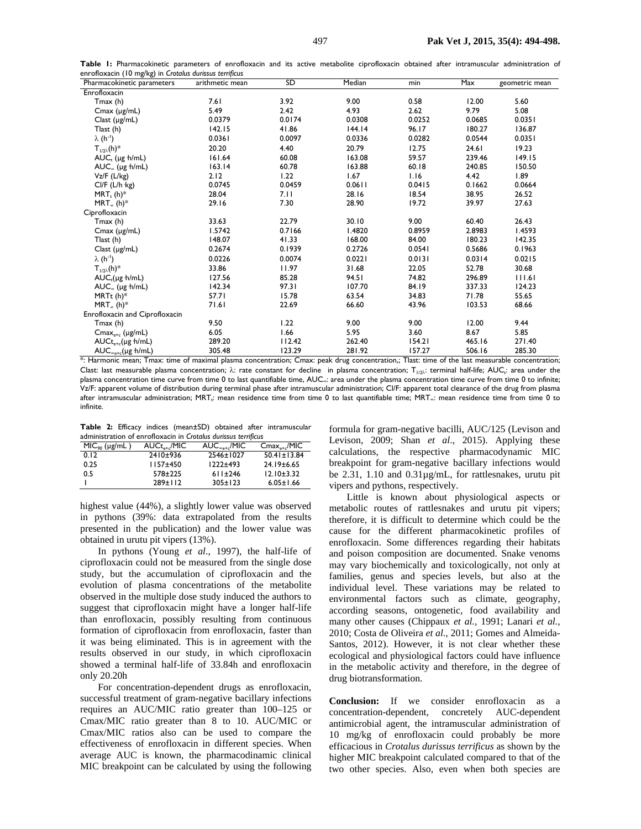|  | Table I: Pharmacokinetic parameters of enrofloxacin and its active metabolite ciprofloxacin obtained after intramuscular administration of |  |  |  |  |  |  |  |
|--|--------------------------------------------------------------------------------------------------------------------------------------------|--|--|--|--|--|--|--|
|  | enrofloxacin (10 mg/kg) in Crotalus durissus terrificus                                                                                    |  |  |  |  |  |  |  |

| Pharmacokinetic parameters              | arithmetic mean | <b>SD</b> | Median | min    | Max    | geometric mean |
|-----------------------------------------|-----------------|-----------|--------|--------|--------|----------------|
| Enrofloxacin                            |                 |           |        |        |        |                |
| Tmax (h)                                | 7.61            | 3.92      | 9.00   | 0.58   | 12.00  | 5.60           |
| $Cmax$ ( $\mu$ g/mL)                    | 5.49            | 2.42      | 4.93   | 2.62   | 9.79   | 5.08           |
| Clast $(\mu g/mL)$                      | 0.0379          | 0.0174    | 0.0308 | 0.0252 | 0.0685 | 0.0351         |
| Tlast (h)                               | 142.15          | 41.86     | 144.14 | 96.17  | 180.27 | 136.87         |
| $\lambda(h^{-1})$                       | 0.0361          | 0.0097    | 0.0336 | 0.0282 | 0.0544 | 0.0351         |
| $T_{1/2\lambda}(h)^*$                   | 20.20           | 4.40      | 20.79  | 12.75  | 24.61  | 19.23          |
| $AUCr$ (µg h/mL)                        | 161.64          | 60.08     | 163.08 | 59.57  | 239.46 | 149.15         |
| $AUC_{\infty}$ (µg h/mL)                | 163.14          | 60.78     | 163.88 | 60.18  | 240.85 | 150.50         |
| $Vz/F$ (L/kg)                           | 2.12            | 1.22      | 1.67   | 1.16   | 4.42   | 1.89           |
| Cl/F (L/h kg)                           | 0.0745          | 0.0459    | 0.0611 | 0.0415 | 0.1662 | 0.0664         |
| $MRT_{t}$ (h)*                          | 28.04           | 7.11      | 28.16  | 18.54  | 38.95  | 26.52          |
| $MRT_{\infty}$ (h) <sup>*</sup>         | 29.16           | 7.30      | 28.90  | 19.72  | 39.97  | 27.63          |
| Ciprofloxacin                           |                 |           |        |        |        |                |
| Tmax (h)                                | 33.63           | 22.79     | 30.10  | 9.00   | 60.40  | 26.43          |
| $Cmax$ ( $\mu$ g/mL)                    | 1.5742          | 0.7166    | 1.4820 | 0.8959 | 2.8983 | 1.4593         |
| Tlast (h)                               | 148.07          | 41.33     | 168.00 | 84.00  | 180.23 | 142.35         |
| Clast (µg/mL)                           | 0.2674          | 0.1939    | 0.2726 | 0.0541 | 0.5686 | 0.1963         |
| $\lambda(h^{-1})$                       | 0.0226          | 0.0074    | 0.0221 | 0.0131 | 0.0314 | 0.0215         |
| $T_{1/2\lambda}(h)^*$                   | 33.86           | 11.97     | 31.68  | 22.05  | 52.78  | 30.68          |
| $AUCr(\mu g \cdot h/mL)$                | 127.56          | 85.28     | 94.51  | 74.82  | 296.89 | 111.61         |
| $AUC_{\infty}$ (µg h/mL)                | 142.34          | 97.31     | 107.70 | 84.19  | 337.33 | 124.23         |
| MRTt $(h)^*$                            | 57.71           | 15.78     | 63.54  | 34.83  | 71.78  | 55.65          |
| $MRT_{\infty}$ (h) <sup>*</sup>         | 71.61           | 22.69     | 66.60  | 43.96  | 103.53 | 68.66          |
| Enrofloxacin and Ciprofloxacin          |                 |           |        |        |        |                |
| Tmax(h)                                 | 9.50            | 1.22      | 9.00   | 9.00   | 12.00  | 9.44           |
| $Cmax_{e+c} (\mu g/mL)$                 | 6.05            | 1.66      | 5.95   | 3.60   | 8.67   | 5.85           |
| $AUCt_{\text{str}}(\mu g \text{ h/mL})$ | 289.20          | 112.42    | 262.40 | 154.21 | 465.16 | 271.40         |
| $AUC_{\approx e+c}(\mu g \cdot h/mL)$   | 305.48          | 123.29    | 281.92 | 157.27 | 506.16 | 285.30         |

\*: Harmonic mean; Tmax: time of maximal plasma concentration; Cmax: peak drug concentration,; Tlast: time of the last measurable concentration; Clast: last measurable plasma concentration;  $\lambda$ : rate constant for decline in plasma concentration; T<sub>1/2</sub>,: terminal half-life; AUC<sub>t</sub>: area under the plasma concentration time curve from time 0 to last quantifiable time, AUC<sub>∞</sub>: area under the plasma concentration time curve from time 0 to infinite; Vz/F: apparent volume of distribution during terminal phase after intramuscular administration; Cl/F: apparent total clearance of the drug from plasma after intramuscular administration; MRT<sub>t</sub>: mean residence time from time 0 to last quantifiable time; MRT<sub>∞</sub>: mean residence time from time 0 to infinite.

**Table 2:** Efficacy indices (mean±SD) obtained after intramuscular administration of enrofloxacin in *Crotalus durissus terrificus*

| $MIC90 (\mu g/mL)$ | $AUC_{t_{\alpha+\alpha}}/MIC$ | $AUC_{\circ\circ\circ\circ}/MIC$ | $Cmax_{e+d}$ /MIC |
|--------------------|-------------------------------|----------------------------------|-------------------|
| 0.12               | 2410±936                      | 2546±1027                        | $50.41 \pm 13.84$ |
| 0.25               | $1157 + 450$                  | $1222 + 493$                     | $24.19 \pm 6.65$  |
| 0.5                | $578 + 225$                   | $611 \pm 246$                    | $12.10 \pm 3.32$  |
|                    | $289 \pm 112$                 | $305 \pm 123$                    | $6.05 \pm 1.66$   |

highest value (44%), a slightly lower value was observed in pythons (39%: data extrapolated from the results presented in the publication) and the lower value was obtained in urutu pit vipers (13%).

In pythons (Young *et al*., 1997), the half-life of ciprofloxacin could not be measured from the single dose study, but the accumulation of ciprofloxacin and the evolution of plasma concentrations of the metabolite observed in the multiple dose study induced the authors to suggest that ciprofloxacin might have a longer half-life than enrofloxacin, possibly resulting from continuous formation of ciprofloxacin from enrofloxacin, faster than it was being eliminated. This is in agreement with the results observed in our study, in which ciprofloxacin showed a terminal half-life of 33.84h and enrofloxacin only 20.20h

For concentration-dependent drugs as enrofloxacin, successful treatment of gram-negative bacillary infections requires an AUC/MIC ratio greater than 100–125 or Cmax/MIC ratio greater than 8 to 10. AUC/MIC or Cmax/MIC ratios also can be used to compare the effectiveness of enrofloxacin in different species. When average AUC is known, the pharmacodinamic clinical MIC breakpoint can be calculated by using the following

formula for gram-negative bacilli, AUC/125 (Levison and Levison, 2009; Shan *et al*., 2015). Applying these calculations, the respective pharmacodynamic MIC breakpoint for gram-negative bacillary infections would be 2.31, 1.10 and 0.31µg/mL, for rattlesnakes, urutu pit vipers and pythons, respectively.

Little is known about physiological aspects or metabolic routes of rattlesnakes and urutu pit vipers; therefore, it is difficult to determine which could be the cause for the different pharmacokinetic profiles of enrofloxacin. Some differences regarding their habitats and poison composition are documented. Snake venoms may vary biochemically and toxicologically, not only at families, genus and species levels, but also at the individual level. These variations may be related to environmental factors such as climate, geography, according seasons, ontogenetic, food availability and many other causes (Chippaux *et al.,* 1991; Lanari *et al.,* 2010; Costa de Oliveira *et al.,* 2011; Gomes and Almeida-Santos, 2012). However, it is not clear whether these ecological and physiological factors could have influence in the metabolic activity and therefore, in the degree of drug biotransformation.

**Conclusion:** If we consider enrofloxacin as a concentration-dependent, concretely AUC-dependent antimicrobial agent, the intramuscular administration of 10 mg/kg of enrofloxacin could probably be more efficacious in *Crotalus durissus terrificus* as shown by the higher MIC breakpoint calculated compared to that of the two other species. Also, even when both species are